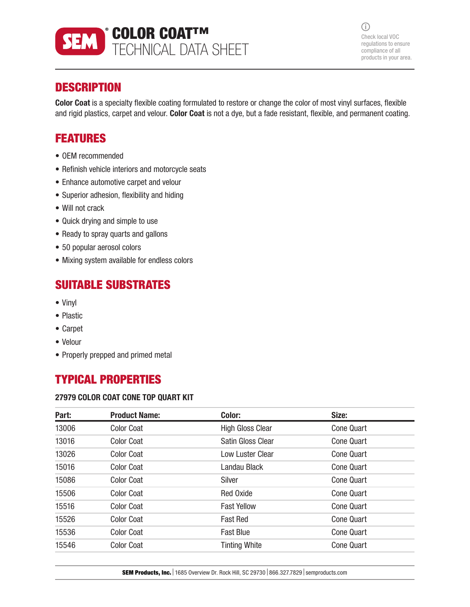

 $(i)$ Check local VOC regulations to ensure compliance of all products in your area.

## **DESCRIPTION**

Color Coat is a specialty flexible coating formulated to restore or change the color of most vinyl surfaces, flexible and rigid plastics, carpet and velour. Color Coat is not a dye, but a fade resistant, flexible, and permanent coating.

## FEATURES

- OEM recommended
- Refinish vehicle interiors and motorcycle seats
- Enhance automotive carpet and velour
- Superior adhesion, flexibility and hiding
- Will not crack
- Quick drying and simple to use
- Ready to spray quarts and gallons
- 50 popular aerosol colors
- Mixing system available for endless colors

## SUITABLE SUBSTRATES

- Vinyl
- Plastic
- Carpet
- Velour
- Properly prepped and primed metal

# TYPICAL PROPERTIES

#### 27979 COLOR COAT CONE TOP QUART KIT

| Part: | <b>Product Name:</b> | Color:                   | Size:             |
|-------|----------------------|--------------------------|-------------------|
| 13006 | <b>Color Coat</b>    | <b>High Gloss Clear</b>  | <b>Cone Quart</b> |
| 13016 | <b>Color Coat</b>    | <b>Satin Gloss Clear</b> | <b>Cone Quart</b> |
| 13026 | <b>Color Coat</b>    | Low Luster Clear         | <b>Cone Quart</b> |
| 15016 | <b>Color Coat</b>    | Landau Black             | <b>Cone Quart</b> |
| 15086 | <b>Color Coat</b>    | Silver                   | <b>Cone Quart</b> |
| 15506 | <b>Color Coat</b>    | <b>Red Oxide</b>         | <b>Cone Quart</b> |
| 15516 | <b>Color Coat</b>    | <b>Fast Yellow</b>       | <b>Cone Quart</b> |
| 15526 | <b>Color Coat</b>    | <b>Fast Red</b>          | <b>Cone Quart</b> |
| 15536 | <b>Color Coat</b>    | <b>Fast Blue</b>         | <b>Cone Quart</b> |
| 15546 | <b>Color Coat</b>    | <b>Tinting White</b>     | <b>Cone Quart</b> |

**SEM Products, Inc.** 1685 Overview Dr. Rock Hill, SC 29730 866.327.7829 semproducts.com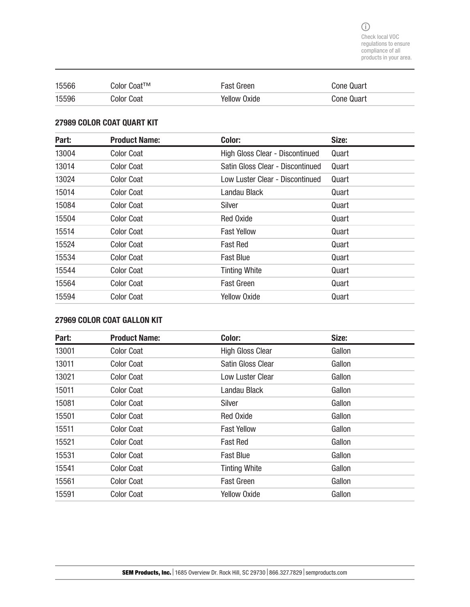| 15566 | Color Coat™ | <b>Fast Green</b>   | <b>Cone Quart</b> |
|-------|-------------|---------------------|-------------------|
| 15596 | Color Coat  | <b>Yellow Oxide</b> | <b>Cone Quart</b> |

#### 27989 COLOR COAT QUART KIT

| Part: | <b>Product Name:</b> | Color:                           | Size: |
|-------|----------------------|----------------------------------|-------|
| 13004 | <b>Color Coat</b>    | High Gloss Clear - Discontinued  | Quart |
| 13014 | <b>Color Coat</b>    | Satin Gloss Clear - Discontinued | Quart |
| 13024 | <b>Color Coat</b>    | Low Luster Clear - Discontinued  | Quart |
| 15014 | <b>Color Coat</b>    | Landau Black                     | Quart |
| 15084 | <b>Color Coat</b>    | Silver                           | Quart |
| 15504 | <b>Color Coat</b>    | <b>Red Oxide</b>                 | Quart |
| 15514 | <b>Color Coat</b>    | <b>Fast Yellow</b>               | Quart |
| 15524 | <b>Color Coat</b>    | <b>Fast Red</b>                  | Quart |
| 15534 | <b>Color Coat</b>    | <b>Fast Blue</b>                 | Quart |
| 15544 | <b>Color Coat</b>    | <b>Tinting White</b>             | Quart |
| 15564 | <b>Color Coat</b>    | <b>Fast Green</b>                | Quart |
| 15594 | <b>Color Coat</b>    | <b>Yellow Oxide</b>              | Quart |

### 27969 COLOR COAT GALLON KIT

| Part: | <b>Product Name:</b> | Color:                   | Size:  |
|-------|----------------------|--------------------------|--------|
| 13001 | <b>Color Coat</b>    | <b>High Gloss Clear</b>  | Gallon |
| 13011 | <b>Color Coat</b>    | <b>Satin Gloss Clear</b> | Gallon |
| 13021 | <b>Color Coat</b>    | <b>Low Luster Clear</b>  | Gallon |
| 15011 | <b>Color Coat</b>    | Landau Black             | Gallon |
| 15081 | <b>Color Coat</b>    | Silver                   | Gallon |
| 15501 | <b>Color Coat</b>    | <b>Red Oxide</b>         | Gallon |
| 15511 | <b>Color Coat</b>    | <b>Fast Yellow</b>       | Gallon |
| 15521 | <b>Color Coat</b>    | <b>Fast Red</b>          | Gallon |
| 15531 | <b>Color Coat</b>    | <b>Fast Blue</b>         | Gallon |
| 15541 | <b>Color Coat</b>    | <b>Tinting White</b>     | Gallon |
| 15561 | <b>Color Coat</b>    | <b>Fast Green</b>        | Gallon |
| 15591 | <b>Color Coat</b>    | <b>Yellow Oxide</b>      | Gallon |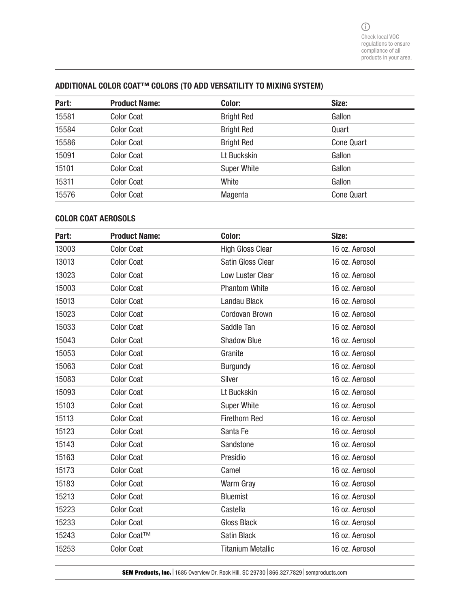### ADDITIONAL COLOR COAT™ COLORS (TO ADD VERSATILITY TO MIXING SYSTEM)

| Part: | <b>Product Name:</b> | Color:             | Size:             |
|-------|----------------------|--------------------|-------------------|
| 15581 | <b>Color Coat</b>    | <b>Bright Red</b>  | Gallon            |
| 15584 | <b>Color Coat</b>    | <b>Bright Red</b>  | Quart             |
| 15586 | <b>Color Coat</b>    | <b>Bright Red</b>  | <b>Cone Quart</b> |
| 15091 | <b>Color Coat</b>    | Lt Buckskin        | Gallon            |
| 15101 | <b>Color Coat</b>    | <b>Super White</b> | Gallon            |
| 15311 | <b>Color Coat</b>    | White              | Gallon            |
| 15576 | <b>Color Coat</b>    | Magenta            | <b>Cone Quart</b> |

#### COLOR COAT AEROSOLS

| Part: | <b>Product Name:</b> | Color:                   | Size:          |
|-------|----------------------|--------------------------|----------------|
| 13003 | <b>Color Coat</b>    | <b>High Gloss Clear</b>  | 16 oz. Aerosol |
| 13013 | <b>Color Coat</b>    | Satin Gloss Clear        | 16 oz. Aerosol |
| 13023 | <b>Color Coat</b>    | Low Luster Clear         | 16 oz. Aerosol |
| 15003 | <b>Color Coat</b>    | <b>Phantom White</b>     | 16 oz. Aerosol |
| 15013 | <b>Color Coat</b>    | Landau Black             | 16 oz. Aerosol |
| 15023 | <b>Color Coat</b>    | <b>Cordovan Brown</b>    | 16 oz. Aerosol |
| 15033 | <b>Color Coat</b>    | Saddle Tan               | 16 oz. Aerosol |
| 15043 | <b>Color Coat</b>    | <b>Shadow Blue</b>       | 16 oz. Aerosol |
| 15053 | <b>Color Coat</b>    | Granite                  | 16 oz. Aerosol |
| 15063 | <b>Color Coat</b>    | <b>Burgundy</b>          | 16 oz. Aerosol |
| 15083 | <b>Color Coat</b>    | Silver                   | 16 oz. Aerosol |
| 15093 | <b>Color Coat</b>    | Lt Buckskin              | 16 oz. Aerosol |
| 15103 | <b>Color Coat</b>    | <b>Super White</b>       | 16 oz. Aerosol |
| 15113 | <b>Color Coat</b>    | <b>Firethorn Red</b>     | 16 oz. Aerosol |
| 15123 | <b>Color Coat</b>    | Santa Fe                 | 16 oz. Aerosol |
| 15143 | <b>Color Coat</b>    | Sandstone                | 16 oz. Aerosol |
| 15163 | <b>Color Coat</b>    | Presidio                 | 16 oz. Aerosol |
| 15173 | <b>Color Coat</b>    | Camel                    | 16 oz. Aerosol |
| 15183 | <b>Color Coat</b>    | <b>Warm Gray</b>         | 16 oz. Aerosol |
| 15213 | <b>Color Coat</b>    | <b>Bluemist</b>          | 16 oz. Aerosol |
| 15223 | <b>Color Coat</b>    | Castella                 | 16 oz. Aerosol |
| 15233 | <b>Color Coat</b>    | <b>Gloss Black</b>       | 16 oz. Aerosol |
| 15243 | Color Coat™          | <b>Satin Black</b>       | 16 oz. Aerosol |
| 15253 | <b>Color Coat</b>    | <b>Titanium Metallic</b> | 16 oz. Aerosol |

SEM Products, Inc. | 1685 Overview Dr. Rock Hill, SC 29730 | 866.327.7829 | semproducts.com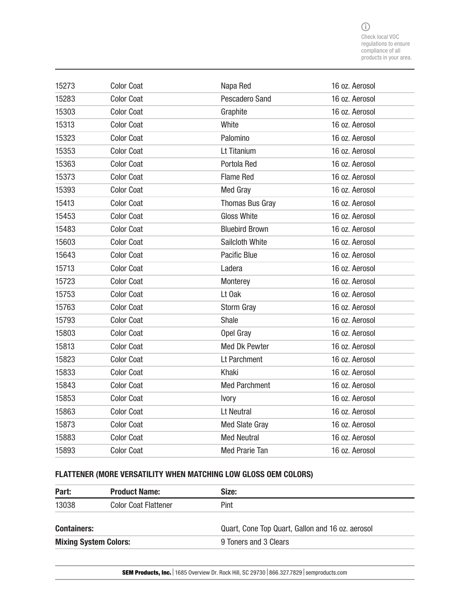$\bigcirc$ Check local VOC regulations to ensure compliance of all products in your area.

| 15273 | <b>Color Coat</b> | Napa Red               | 16 oz. Aerosol |
|-------|-------------------|------------------------|----------------|
| 15283 | <b>Color Coat</b> | Pescadero Sand         | 16 oz. Aerosol |
| 15303 | <b>Color Coat</b> | Graphite               | 16 oz. Aerosol |
| 15313 | <b>Color Coat</b> | White                  | 16 oz. Aerosol |
| 15323 | <b>Color Coat</b> | Palomino               | 16 oz. Aerosol |
| 15353 | <b>Color Coat</b> | Lt Titanium            | 16 oz. Aerosol |
| 15363 | <b>Color Coat</b> | Portola Red            | 16 oz. Aerosol |
| 15373 | <b>Color Coat</b> | <b>Flame Red</b>       | 16 oz. Aerosol |
| 15393 | <b>Color Coat</b> | <b>Med Gray</b>        | 16 oz. Aerosol |
| 15413 | <b>Color Coat</b> | <b>Thomas Bus Gray</b> | 16 oz. Aerosol |
| 15453 | <b>Color Coat</b> | <b>Gloss White</b>     | 16 oz. Aerosol |
| 15483 | <b>Color Coat</b> | <b>Bluebird Brown</b>  | 16 oz. Aerosol |
| 15603 | <b>Color Coat</b> | Sailcloth White        | 16 oz. Aerosol |
| 15643 | <b>Color Coat</b> | Pacific Blue           | 16 oz. Aerosol |
| 15713 | <b>Color Coat</b> | Ladera                 | 16 oz. Aerosol |
| 15723 | <b>Color Coat</b> | Monterey               | 16 oz. Aerosol |
| 15753 | <b>Color Coat</b> | Lt Oak                 | 16 oz. Aerosol |
| 15763 | <b>Color Coat</b> | Storm Gray             | 16 oz. Aerosol |
| 15793 | <b>Color Coat</b> | Shale                  | 16 oz. Aerosol |
| 15803 | <b>Color Coat</b> | Opel Gray              | 16 oz. Aerosol |
| 15813 | <b>Color Coat</b> | <b>Med Dk Pewter</b>   | 16 oz. Aerosol |
| 15823 | <b>Color Coat</b> | Lt Parchment           | 16 oz. Aerosol |
| 15833 | <b>Color Coat</b> | Khaki                  | 16 oz. Aerosol |
| 15843 | <b>Color Coat</b> | <b>Med Parchment</b>   | 16 oz. Aerosol |
| 15853 | <b>Color Coat</b> | Ivory                  | 16 oz. Aerosol |
| 15863 | <b>Color Coat</b> | Lt Neutral             | 16 oz. Aerosol |
| 15873 | <b>Color Coat</b> | <b>Med Slate Gray</b>  | 16 oz. Aerosol |
| 15883 | <b>Color Coat</b> | <b>Med Neutral</b>     | 16 oz. Aerosol |
| 15893 | <b>Color Coat</b> | <b>Med Prarie Tan</b>  | 16 oz. Aerosol |

### FLATTENER (MORE VERSATILITY WHEN MATCHING LOW GLOSS OEM COLORS)

| Part:                        | <b>Product Name:</b>        | Size:                                            |
|------------------------------|-----------------------------|--------------------------------------------------|
| 13038                        | <b>Color Coat Flattener</b> | Pint                                             |
| <b>Containers:</b>           |                             | Quart, Cone Top Quart, Gallon and 16 oz. aerosol |
| <b>Mixing System Colors:</b> |                             | 9 Toners and 3 Clears                            |

SEM Products, Inc. | 1685 Overview Dr. Rock Hill, SC 29730 | 866.327.7829 | semproducts.com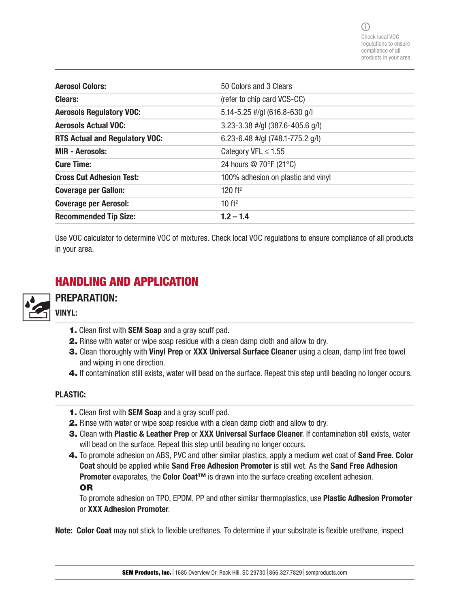| <b>Aerosol Colors:</b>                | 50 Colors and 3 Clears               |
|---------------------------------------|--------------------------------------|
| <b>Clears:</b>                        | (refer to chip card VCS-CC)          |
| <b>Aerosols Regulatory VOC:</b>       | 5.14-5.25 #/gl (616.8-630 g/l        |
| <b>Aerosols Actual VOC:</b>           | $3.23 - 3.38$ #/gl (387.6-405.6 g/l) |
| <b>RTS Actual and Regulatory VOC:</b> | 6.23-6.48 #/gl $(748.1 - 775.2$ g/l) |
| <b>MIR - Aerosols:</b>                | Category VFL $\leq$ 1.55             |
| <b>Cure Time:</b>                     | 24 hours @ 70°F (21°C)               |
| <b>Cross Cut Adhesion Test:</b>       | 100% adhesion on plastic and vinyl   |
| <b>Coverage per Gallon:</b>           | 120 ft <sup>2</sup>                  |
| <b>Coverage per Aerosol:</b>          | 10 ft <sup>2</sup>                   |
| <b>Recommended Tip Size:</b>          | $1.2 - 1.4$                          |

Use VOC calculator to determine VOC of mixtures. Check local VOC regulations to ensure compliance of all products in your area.

## HANDLING AND APPLICATION



## PREPARATION: VINYL:

- 1. Clean first with SEM Soap and a gray scuff pad.
- 2. Rinse with water or wipe soap residue with a clean damp cloth and allow to dry.
- 3. Clean thoroughly with Vinyl Prep or XXX Universal Surface Cleaner using a clean, damp lint free towel and wiping in one direction.
- 4. If contamination still exists, water will bead on the surface. Repeat this step until beading no longer occurs.

### PLASTIC:

- 1. Clean first with SEM Soap and a gray scuff pad.
- 2. Rinse with water or wipe soap residue with a clean damp cloth and allow to dry.
- 3. Clean with Plastic & Leather Prep or XXX Universal Surface Cleaner. If contamination still exists, water will bead on the surface. Repeat this step until beading no longer occurs.
- 4. To promote adhesion on ABS, PVC and other similar plastics, apply a medium wet coat of Sand Free. Color Coat should be applied while Sand Free Adhesion Promoter is still wet. As the Sand Free Adhesion Promoter evaporates, the Color Coat™ is drawn into the surface creating excellent adhesion. OR

To promote adhesion on TPO, EPDM, PP and other similar thermoplastics, use Plastic Adhesion Promoter or XXX Adhesion Promoter.

Note: Color Coat may not stick to flexible urethanes. To determine if your substrate is flexible urethane, inspect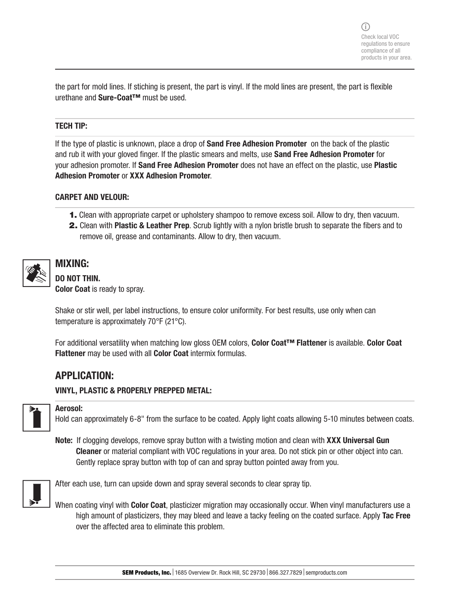the part for mold lines. If stiching is present, the part is vinyl. If the mold lines are present, the part is flexible urethane and Sure-Coat™ must be used.

#### TECH TIP:

If the type of plastic is unknown, place a drop of **Sand Free Adhesion Promoter** on the back of the plastic and rub it with your gloved finger. If the plastic smears and melts, use Sand Free Adhesion Promoter for your adhesion promoter. If Sand Free Adhesion Promoter does not have an effect on the plastic, use Plastic Adhesion Promoter or XXX Adhesion Promoter.

#### CARPET AND VELOUR:

- 1. Clean with appropriate carpet or upholstery shampoo to remove excess soil. Allow to dry, then vacuum.
- 2. Clean with Plastic & Leather Prep. Scrub lightly with a nylon bristle brush to separate the fibers and to remove oil, grease and contaminants. Allow to dry, then vacuum.



### MIXING: DO NOT THIN.

Color Coat is ready to spray.

Shake or stir well, per label instructions, to ensure color uniformity. For best results, use only when can temperature is approximately 70°F (21°C).

For additional versatility when matching low gloss OEM colors, Color Coat™ Flattener is available. Color Coat Flattener may be used with all Color Coat intermix formulas.

### APPLICATION:

#### VINYL, PLASTIC & PROPERLY PREPPED METAL:



#### Aerosol:

Hold can approximately 6-8" from the surface to be coated. Apply light coats allowing 5-10 minutes between coats.

Note: If clogging develops, remove spray button with a twisting motion and clean with XXX Universal Gun Cleaner or material compliant with VOC regulations in your area. Do not stick pin or other object into can. Gently replace spray button with top of can and spray button pointed away from you.



After each use, turn can upside down and spray several seconds to clear spray tip.

When coating vinyl with **Color Coat**, plasticizer migration may occasionally occur. When vinyl manufacturers use a high amount of plasticizers, they may bleed and leave a tacky feeling on the coated surface. Apply Tac Free over the affected area to eliminate this problem.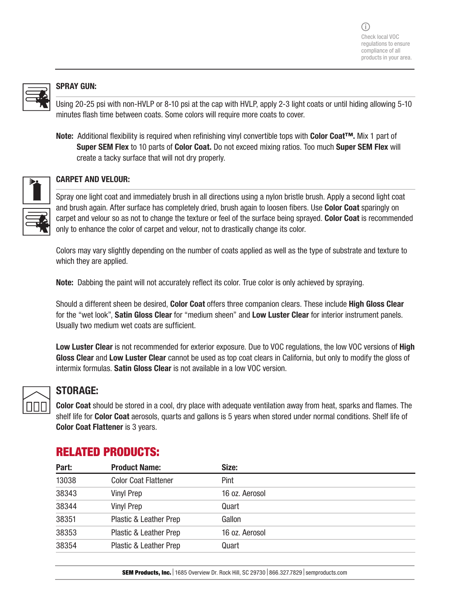

#### SPRAY GUN:

Using 20-25 psi with non-HVLP or 8-10 psi at the cap with HVLP, apply 2-3 light coats or until hiding allowing 5-10 minutes flash time between coats. Some colors will require more coats to cover.

Note: Additional flexibility is required when refinishing vinyl convertible tops with Color Coat™. Mix 1 part of Super SEM Flex to 10 parts of Color Coat. Do not exceed mixing ratios. Too much Super SEM Flex will create a tacky surface that will not dry properly.



#### CARPET AND VELOUR:

Spray one light coat and immediately brush in all directions using a nylon bristle brush. Apply a second light coat and brush again. After surface has completely dried, brush again to loosen fibers. Use Color Coat sparingly on carpet and velour so as not to change the texture or feel of the surface being sprayed. Color Coat is recommended only to enhance the color of carpet and velour, not to drastically change its color.

Colors may vary slightly depending on the number of coats applied as well as the type of substrate and texture to which they are applied.

Note: Dabbing the paint will not accurately reflect its color. True color is only achieved by spraying.

Should a different sheen be desired, Color Coat offers three companion clears. These include High Gloss Clear for the "wet look", Satin Gloss Clear for "medium sheen" and Low Luster Clear for interior instrument panels. Usually two medium wet coats are sufficient.

Low Luster Clear is not recommended for exterior exposure. Due to VOC regulations, the low VOC versions of High Gloss Clear and Low Luster Clear cannot be used as top coat clears in California, but only to modify the gloss of intermix formulas. Satin Gloss Clear is not available in a low VOC version.



### STORAGE:

Color Coat should be stored in a cool, dry place with adequate ventilation away from heat, sparks and flames. The shelf life for Color Coat aerosols, quarts and gallons is 5 years when stored under normal conditions. Shelf life of Color Coat Flattener is 3 years.

| Part: | <b>Product Name:</b>        | Size:          |
|-------|-----------------------------|----------------|
| 13038 | <b>Color Coat Flattener</b> | Pint           |
| 38343 | <b>Vinyl Prep</b>           | 16 oz. Aerosol |
| 38344 | <b>Vinyl Prep</b>           | Quart          |
| 38351 | Plastic & Leather Prep      | Gallon         |
| 38353 | Plastic & Leather Prep      | 16 oz. Aerosol |
| 38354 | Plastic & Leather Prep      | Quart          |
|       |                             |                |

## RELATED PRODUCTS: